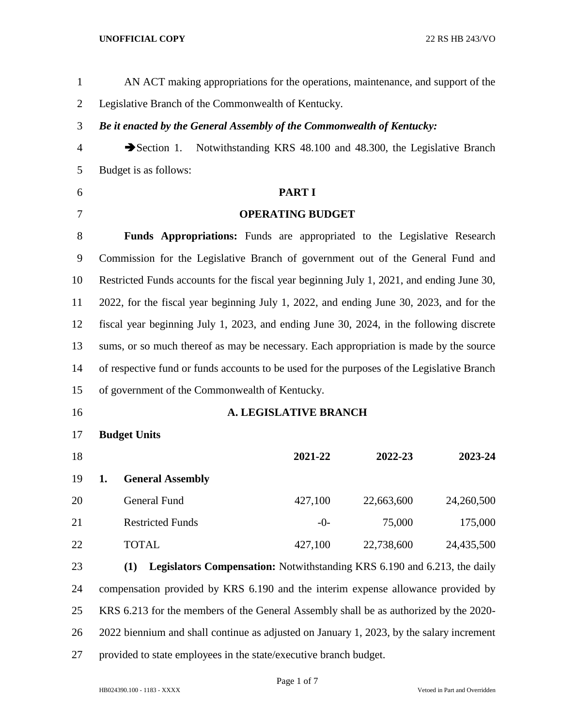| $\mathbf{1}$   | AN ACT making appropriations for the operations, maintenance, and support of the           |                                                               |            |            |
|----------------|--------------------------------------------------------------------------------------------|---------------------------------------------------------------|------------|------------|
| $\overline{2}$ | Legislative Branch of the Commonwealth of Kentucky.                                        |                                                               |            |            |
| 3              | Be it enacted by the General Assembly of the Commonwealth of Kentucky:                     |                                                               |            |            |
| $\overline{4}$ | $\rightarrow$ Section 1.                                                                   | Notwithstanding KRS 48.100 and 48.300, the Legislative Branch |            |            |
| 5              | Budget is as follows:                                                                      |                                                               |            |            |
| 6              |                                                                                            | <b>PART I</b>                                                 |            |            |
| $\overline{7}$ | <b>OPERATING BUDGET</b>                                                                    |                                                               |            |            |
| 8              | Funds Appropriations: Funds are appropriated to the Legislative Research                   |                                                               |            |            |
| 9              | Commission for the Legislative Branch of government out of the General Fund and            |                                                               |            |            |
| 10             | Restricted Funds accounts for the fiscal year beginning July 1, 2021, and ending June 30,  |                                                               |            |            |
| 11             | 2022, for the fiscal year beginning July 1, 2022, and ending June 30, 2023, and for the    |                                                               |            |            |
| 12             | fiscal year beginning July 1, 2023, and ending June 30, 2024, in the following discrete    |                                                               |            |            |
| 13             | sums, or so much thereof as may be necessary. Each appropriation is made by the source     |                                                               |            |            |
| 14             | of respective fund or funds accounts to be used for the purposes of the Legislative Branch |                                                               |            |            |
| 15             | of government of the Commonwealth of Kentucky.                                             |                                                               |            |            |
| 16             |                                                                                            | <b>A. LEGISLATIVE BRANCH</b>                                  |            |            |
| 17             | <b>Budget Units</b>                                                                        |                                                               |            |            |
| 18             |                                                                                            | 2021-22                                                       | 2022-23    | 2023-24    |
| 19             | <b>General Assembly</b><br>1.                                                              |                                                               |            |            |
| 20             | General Fund                                                                               | 427,100                                                       | 22,663,600 | 24,260,500 |
| 21             | <b>Restricted Funds</b>                                                                    | $-0-$                                                         | 75,000     | 175,000    |
| 22             | <b>TOTAL</b>                                                                               | 427,100                                                       | 22,738,600 | 24,435,500 |
| 23             | <b>Legislators Compensation:</b> Notwithstanding KRS 6.190 and 6.213, the daily<br>(1)     |                                                               |            |            |
| 24             | compensation provided by KRS 6.190 and the interim expense allowance provided by           |                                                               |            |            |
| 25             | KRS 6.213 for the members of the General Assembly shall be as authorized by the 2020-      |                                                               |            |            |
| 26             | 2022 biennium and shall continue as adjusted on January 1, 2023, by the salary increment   |                                                               |            |            |
| 27             | provided to state employees in the state/executive branch budget.                          |                                                               |            |            |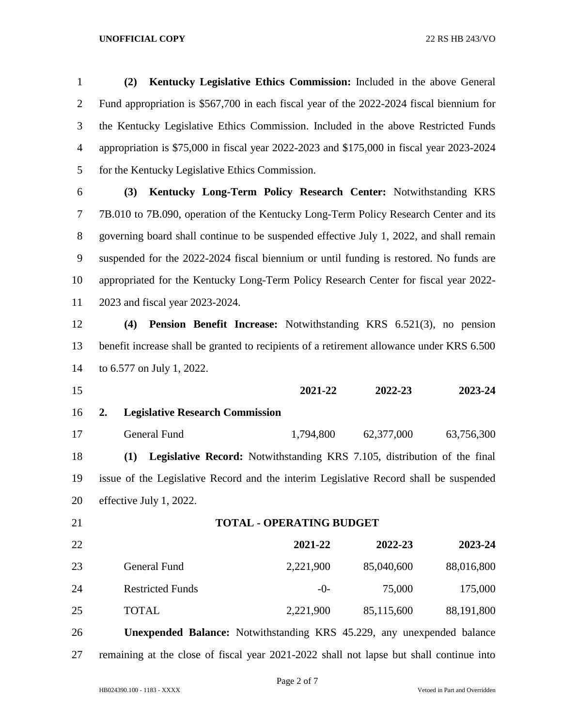**(2) Kentucky Legislative Ethics Commission:** Included in the above General Fund appropriation is \$567,700 in each fiscal year of the 2022-2024 fiscal biennium for the Kentucky Legislative Ethics Commission. Included in the above Restricted Funds appropriation is \$75,000 in fiscal year 2022-2023 and \$175,000 in fiscal year 2023-2024 for the Kentucky Legislative Ethics Commission.

 **(3) Kentucky Long-Term Policy Research Center:** Notwithstanding KRS 7B.010 to 7B.090, operation of the Kentucky Long-Term Policy Research Center and its governing board shall continue to be suspended effective July 1, 2022, and shall remain suspended for the 2022-2024 fiscal biennium or until funding is restored. No funds are appropriated for the Kentucky Long-Term Policy Research Center for fiscal year 2022- 2023 and fiscal year 2023-2024.

 **(4) Pension Benefit Increase:** Notwithstanding KRS 6.521(3), no pension benefit increase shall be granted to recipients of a retirement allowance under KRS 6.500 to 6.577 on July 1, 2022.

 **2021-22 2022-23 2023-24 2. Legislative Research Commission** General Fund 1,794,800 62,377,000 63,756,300 **(1) Legislative Record:** Notwithstanding KRS 7.105, distribution of the final issue of the Legislative Record and the interim Legislative Record shall be suspended effective July 1, 2022.

| 22 |                         | 2021-22   | 2022-23    | 2023-24    |
|----|-------------------------|-----------|------------|------------|
| 23 | General Fund            | 2,221,900 | 85,040,600 | 88,016,800 |
| 24 | <b>Restricted Funds</b> | $-()$     | 75,000     | 175,000    |
| 25 | <b>TOTAL</b>            | 2,221,900 | 85,115,600 | 88,191,800 |

**TOTAL - OPERATING BUDGET**

 **Unexpended Balance:** Notwithstanding KRS 45.229, any unexpended balance remaining at the close of fiscal year 2021-2022 shall not lapse but shall continue into

Page 2 of 7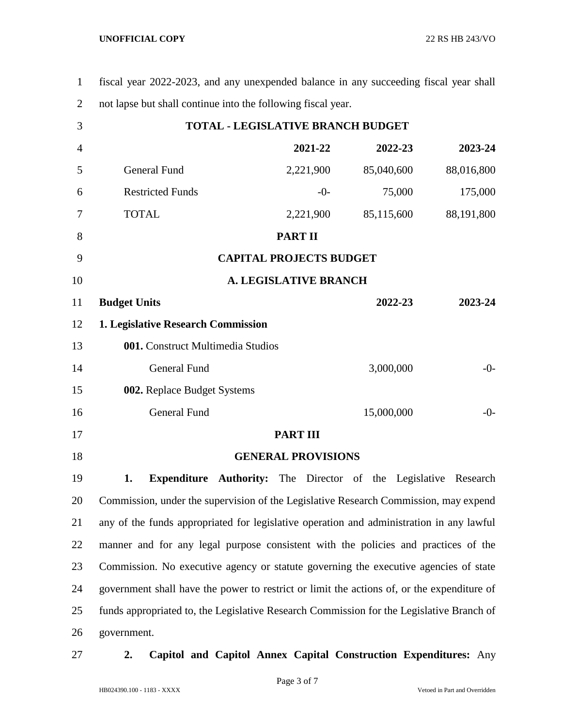| $\mathbf{1}$   | fiscal year 2022-2023, and any unexpended balance in any succeeding fiscal year shall      |                           |            |            |
|----------------|--------------------------------------------------------------------------------------------|---------------------------|------------|------------|
| $\overline{2}$ | not lapse but shall continue into the following fiscal year.                               |                           |            |            |
| 3              | <b>TOTAL - LEGISLATIVE BRANCH BUDGET</b>                                                   |                           |            |            |
| $\overline{4}$ |                                                                                            | 2021-22                   | 2022-23    | 2023-24    |
| 5              | <b>General Fund</b>                                                                        | 2,221,900                 | 85,040,600 | 88,016,800 |
| 6              | <b>Restricted Funds</b>                                                                    | $-0-$                     | 75,000     | 175,000    |
| 7              | <b>TOTAL</b>                                                                               | 2,221,900                 | 85,115,600 | 88,191,800 |
| 8              |                                                                                            | <b>PART II</b>            |            |            |
| 9              | <b>CAPITAL PROJECTS BUDGET</b>                                                             |                           |            |            |
| 10             | <b>A. LEGISLATIVE BRANCH</b>                                                               |                           |            |            |
| 11             | <b>Budget Units</b>                                                                        |                           | 2022-23    | 2023-24    |
| 12             | 1. Legislative Research Commission                                                         |                           |            |            |
| 13             | 001. Construct Multimedia Studios                                                          |                           |            |            |
| 14             | <b>General Fund</b>                                                                        |                           | 3,000,000  | $-0-$      |
| 15             | 002. Replace Budget Systems                                                                |                           |            |            |
| 16             | <b>General Fund</b>                                                                        |                           | 15,000,000 | $-0-$      |
| 17             |                                                                                            | <b>PART III</b>           |            |            |
| 18             |                                                                                            | <b>GENERAL PROVISIONS</b> |            |            |
| 19             | 1.<br><b>Expenditure Authority:</b> The Director of the Legislative Research               |                           |            |            |
| 20             | Commission, under the supervision of the Legislative Research Commission, may expend       |                           |            |            |
| 21             | any of the funds appropriated for legislative operation and administration in any lawful   |                           |            |            |
| 22             | manner and for any legal purpose consistent with the policies and practices of the         |                           |            |            |
| 23             | Commission. No executive agency or statute governing the executive agencies of state       |                           |            |            |
| 24             | government shall have the power to restrict or limit the actions of, or the expenditure of |                           |            |            |
| 25             | funds appropriated to, the Legislative Research Commission for the Legislative Branch of   |                           |            |            |
| 26             | government.                                                                                |                           |            |            |
|                |                                                                                            |                           |            |            |

# **2. Capitol and Capitol Annex Capital Construction Expenditures:** Any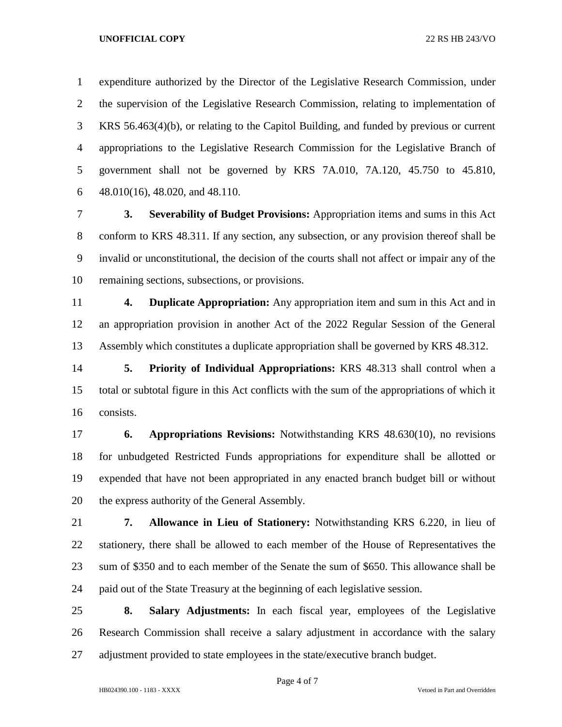expenditure authorized by the Director of the Legislative Research Commission, under the supervision of the Legislative Research Commission, relating to implementation of KRS 56.463(4)(b), or relating to the Capitol Building, and funded by previous or current appropriations to the Legislative Research Commission for the Legislative Branch of government shall not be governed by KRS 7A.010, 7A.120, 45.750 to 45.810, 48.010(16), 48.020, and 48.110.

 **3. Severability of Budget Provisions:** Appropriation items and sums in this Act conform to KRS 48.311. If any section, any subsection, or any provision thereof shall be invalid or unconstitutional, the decision of the courts shall not affect or impair any of the remaining sections, subsections, or provisions.

 **4. Duplicate Appropriation:** Any appropriation item and sum in this Act and in an appropriation provision in another Act of the 2022 Regular Session of the General Assembly which constitutes a duplicate appropriation shall be governed by KRS 48.312.

 **5. Priority of Individual Appropriations:** KRS 48.313 shall control when a total or subtotal figure in this Act conflicts with the sum of the appropriations of which it consists.

 **6. Appropriations Revisions:** Notwithstanding KRS 48.630(10), no revisions for unbudgeted Restricted Funds appropriations for expenditure shall be allotted or expended that have not been appropriated in any enacted branch budget bill or without the express authority of the General Assembly.

 **7. Allowance in Lieu of Stationery:** Notwithstanding KRS 6.220, in lieu of stationery, there shall be allowed to each member of the House of Representatives the sum of \$350 and to each member of the Senate the sum of \$650. This allowance shall be paid out of the State Treasury at the beginning of each legislative session.

 **8. Salary Adjustments:** In each fiscal year, employees of the Legislative Research Commission shall receive a salary adjustment in accordance with the salary adjustment provided to state employees in the state/executive branch budget.

Page 4 of 7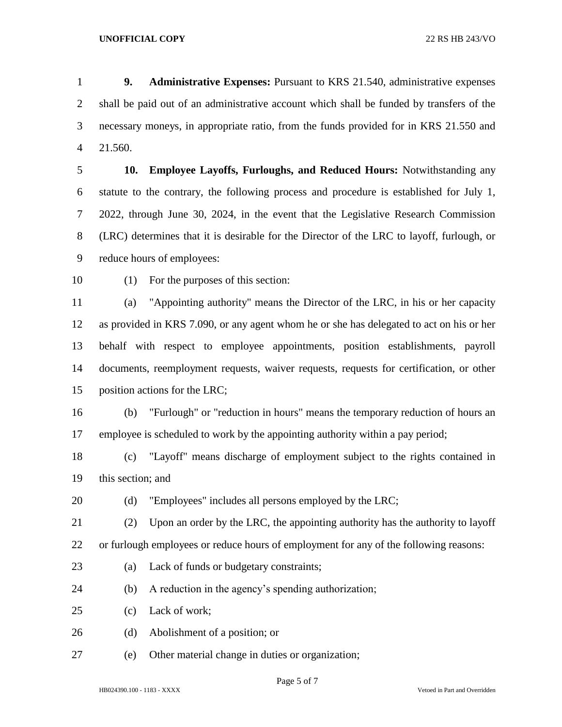**9. Administrative Expenses:** Pursuant to KRS 21.540, administrative expenses shall be paid out of an administrative account which shall be funded by transfers of the necessary moneys, in appropriate ratio, from the funds provided for in KRS 21.550 and 21.560.

 **10. Employee Layoffs, Furloughs, and Reduced Hours:** Notwithstanding any statute to the contrary, the following process and procedure is established for July 1, 2022, through June 30, 2024, in the event that the Legislative Research Commission (LRC) determines that it is desirable for the Director of the LRC to layoff, furlough, or reduce hours of employees:

(1) For the purposes of this section:

 (a) "Appointing authority" means the Director of the LRC, in his or her capacity as provided in KRS 7.090, or any agent whom he or she has delegated to act on his or her behalf with respect to employee appointments, position establishments, payroll documents, reemployment requests, waiver requests, requests for certification, or other position actions for the LRC;

 (b) "Furlough" or "reduction in hours" means the temporary reduction of hours an employee is scheduled to work by the appointing authority within a pay period;

 (c) "Layoff" means discharge of employment subject to the rights contained in this section; and

20 (d) "Employees" includes all persons employed by the LRC;

 (2) Upon an order by the LRC, the appointing authority has the authority to layoff or furlough employees or reduce hours of employment for any of the following reasons:

- (a) Lack of funds or budgetary constraints;
- (b) A reduction in the agency's spending authorization;

(c) Lack of work;

(d) Abolishment of a position; or

(e) Other material change in duties or organization;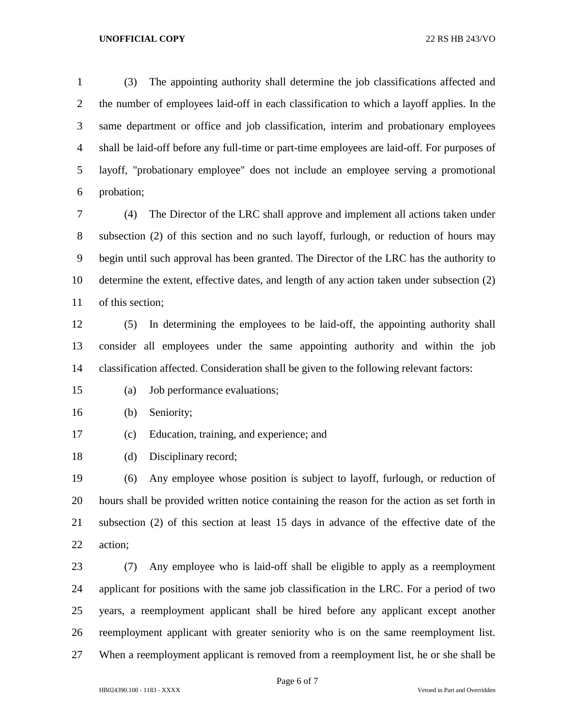(3) The appointing authority shall determine the job classifications affected and the number of employees laid-off in each classification to which a layoff applies. In the same department or office and job classification, interim and probationary employees shall be laid-off before any full-time or part-time employees are laid-off. For purposes of layoff, "probationary employee" does not include an employee serving a promotional probation;

 (4) The Director of the LRC shall approve and implement all actions taken under subsection (2) of this section and no such layoff, furlough, or reduction of hours may begin until such approval has been granted. The Director of the LRC has the authority to determine the extent, effective dates, and length of any action taken under subsection (2) of this section;

 (5) In determining the employees to be laid-off, the appointing authority shall consider all employees under the same appointing authority and within the job classification affected. Consideration shall be given to the following relevant factors:

- (a) Job performance evaluations;
- (b) Seniority;
- (c) Education, training, and experience; and
- (d) Disciplinary record;

 (6) Any employee whose position is subject to layoff, furlough, or reduction of hours shall be provided written notice containing the reason for the action as set forth in subsection (2) of this section at least 15 days in advance of the effective date of the action;

 (7) Any employee who is laid-off shall be eligible to apply as a reemployment applicant for positions with the same job classification in the LRC. For a period of two years, a reemployment applicant shall be hired before any applicant except another reemployment applicant with greater seniority who is on the same reemployment list. When a reemployment applicant is removed from a reemployment list, he or she shall be

Page 6 of 7